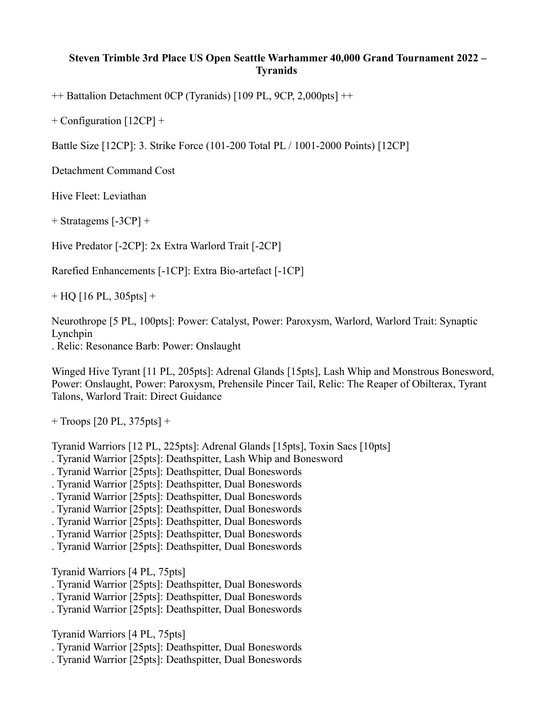## **Steven Trimble 3rd Place US Open Seattle Warhammer 40,000 Grand Tournament 2022 – Tyranids**

++ Battalion Detachment 0CP (Tyranids) [109 PL, 9CP, 2,000pts] ++

+ Configuration [12CP] +

Battle Size [12CP]: 3. Strike Force (101-200 Total PL / 1001-2000 Points) [12CP]

Detachment Command Cost

Hive Fleet: Leviathan

+ Stratagems [-3CP] +

Hive Predator [-2CP]: 2x Extra Warlord Trait [-2CP]

Rarefied Enhancements [-1CP]: Extra Bio-artefact [-1CP]

 $+$  HQ [16 PL, 305pts] +

Neurothrope [5 PL, 100pts]: Power: Catalyst, Power: Paroxysm, Warlord, Warlord Trait: Synaptic Lynchpin

. Relic: Resonance Barb: Power: Onslaught

Winged Hive Tyrant [11 PL, 205pts]: Adrenal Glands [15pts], Lash Whip and Monstrous Bonesword, Power: Onslaught, Power: Paroxysm, Prehensile Pincer Tail, Relic: The Reaper of Obilterax, Tyrant Talons, Warlord Trait: Direct Guidance

+ Troops [20 PL, 375pts] +

Tyranid Warriors [12 PL, 225pts]: Adrenal Glands [15pts], Toxin Sacs [10pts]

. Tyranid Warrior [25pts]: Deathspitter, Lash Whip and Bonesword

. Tyranid Warrior [25pts]: Deathspitter, Dual Boneswords

. Tyranid Warrior [25pts]: Deathspitter, Dual Boneswords

. Tyranid Warrior [25pts]: Deathspitter, Dual Boneswords

. Tyranid Warrior [25pts]: Deathspitter, Dual Boneswords

. Tyranid Warrior [25pts]: Deathspitter, Dual Boneswords

. Tyranid Warrior [25pts]: Deathspitter, Dual Boneswords

. Tyranid Warrior [25pts]: Deathspitter, Dual Boneswords

Tyranid Warriors [4 PL, 75pts]

. Tyranid Warrior [25pts]: Deathspitter, Dual Boneswords

. Tyranid Warrior [25pts]: Deathspitter, Dual Boneswords

. Tyranid Warrior [25pts]: Deathspitter, Dual Boneswords

Tyranid Warriors [4 PL, 75pts]

. Tyranid Warrior [25pts]: Deathspitter, Dual Boneswords

. Tyranid Warrior [25pts]: Deathspitter, Dual Boneswords